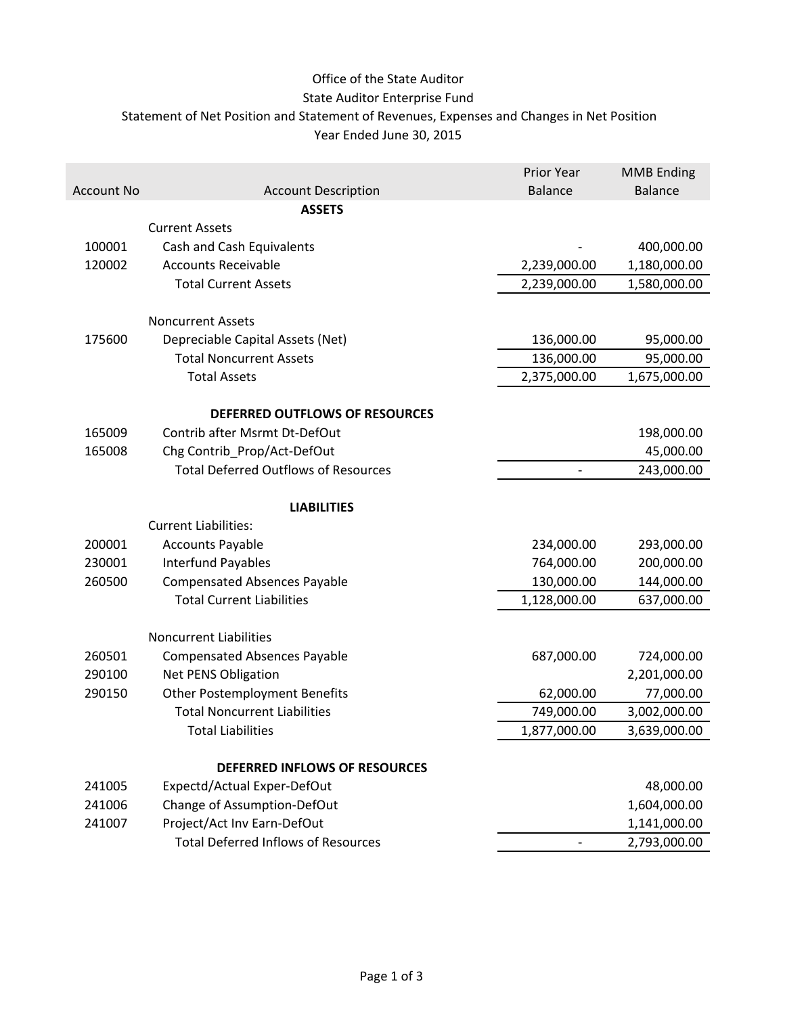### Office of the State Auditor

### State Auditor Enterprise Fund

Statement of Net Position and Statement of Revenues, Expenses and Changes in Net Position

Year Ended June 30, 2015

|                   |                                             | <b>Prior Year</b>        | <b>MMB Ending</b> |
|-------------------|---------------------------------------------|--------------------------|-------------------|
| <b>Account No</b> | <b>Account Description</b>                  | <b>Balance</b>           | <b>Balance</b>    |
|                   | <b>ASSETS</b>                               |                          |                   |
|                   | <b>Current Assets</b>                       |                          |                   |
| 100001            | Cash and Cash Equivalents                   |                          | 400,000.00        |
| 120002            | <b>Accounts Receivable</b>                  | 2,239,000.00             | 1,180,000.00      |
|                   | <b>Total Current Assets</b>                 | 2,239,000.00             | 1,580,000.00      |
|                   |                                             |                          |                   |
|                   | <b>Noncurrent Assets</b>                    |                          |                   |
| 175600            | Depreciable Capital Assets (Net)            | 136,000.00               | 95,000.00         |
|                   | <b>Total Noncurrent Assets</b>              | 136,000.00               | 95,000.00         |
|                   | <b>Total Assets</b>                         | 2,375,000.00             | 1,675,000.00      |
|                   |                                             |                          |                   |
|                   | DEFERRED OUTFLOWS OF RESOURCES              |                          |                   |
| 165009            | Contrib after Msrmt Dt-DefOut               |                          | 198,000.00        |
| 165008            | Chg Contrib Prop/Act-DefOut                 |                          | 45,000.00         |
|                   | <b>Total Deferred Outflows of Resources</b> | $\overline{\phantom{m}}$ | 243,000.00        |
|                   |                                             |                          |                   |
|                   | <b>LIABILITIES</b>                          |                          |                   |
|                   | <b>Current Liabilities:</b>                 |                          |                   |
| 200001            | <b>Accounts Payable</b>                     | 234,000.00               | 293,000.00        |
| 230001            | <b>Interfund Payables</b>                   | 764,000.00               | 200,000.00        |
| 260500            | <b>Compensated Absences Payable</b>         | 130,000.00               | 144,000.00        |
|                   | <b>Total Current Liabilities</b>            | 1,128,000.00             | 637,000.00        |
|                   |                                             |                          |                   |
|                   | <b>Noncurrent Liabilities</b>               |                          |                   |
| 260501            | <b>Compensated Absences Payable</b>         | 687,000.00               | 724,000.00        |
| 290100            | <b>Net PENS Obligation</b>                  |                          | 2,201,000.00      |
| 290150            | <b>Other Postemployment Benefits</b>        | 62,000.00                | 77,000.00         |
|                   | <b>Total Noncurrent Liabilities</b>         | 749,000.00               | 3,002,000.00      |
|                   | <b>Total Liabilities</b>                    | 1,877,000.00             | 3,639,000.00      |
|                   | <b>DEFERRED INFLOWS OF RESOURCES</b>        |                          |                   |
| 241005            | Expectd/Actual Exper-DefOut                 |                          | 48,000.00         |
| 241006            | Change of Assumption-DefOut                 |                          | 1,604,000.00      |
| 241007            | Project/Act Inv Earn-DefOut                 |                          | 1,141,000.00      |
|                   | <b>Total Deferred Inflows of Resources</b>  |                          | 2,793,000.00      |
|                   |                                             |                          |                   |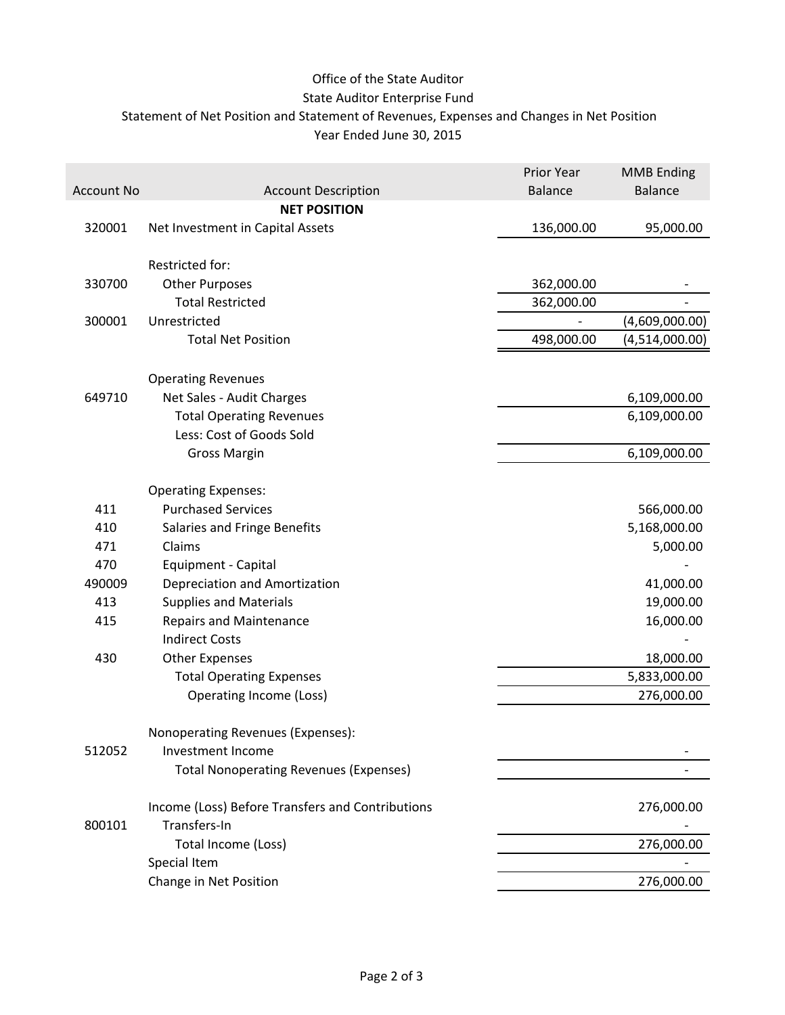### Office of the State Auditor

### State Auditor Enterprise Fund

Statement of Net Position and Statement of Revenues, Expenses and Changes in Net Position

Year Ended June 30, 2015

|                   |                                                  | Prior Year     | <b>MMB Ending</b> |
|-------------------|--------------------------------------------------|----------------|-------------------|
| <b>Account No</b> | <b>Account Description</b>                       | <b>Balance</b> | <b>Balance</b>    |
|                   | <b>NET POSITION</b>                              |                |                   |
| 320001            | Net Investment in Capital Assets                 | 136,000.00     | 95,000.00         |
|                   |                                                  |                |                   |
|                   | Restricted for:                                  |                |                   |
| 330700            | <b>Other Purposes</b>                            | 362,000.00     |                   |
|                   | <b>Total Restricted</b>                          | 362,000.00     |                   |
| 300001            | Unrestricted                                     |                | (4,609,000.00)    |
|                   | <b>Total Net Position</b>                        | 498,000.00     | (4,514,000.00)    |
|                   | <b>Operating Revenues</b>                        |                |                   |
| 649710            | Net Sales - Audit Charges                        |                | 6,109,000.00      |
|                   | <b>Total Operating Revenues</b>                  |                | 6,109,000.00      |
|                   | Less: Cost of Goods Sold                         |                |                   |
|                   | <b>Gross Margin</b>                              |                | 6,109,000.00      |
|                   | <b>Operating Expenses:</b>                       |                |                   |
| 411               | <b>Purchased Services</b>                        |                | 566,000.00        |
| 410               | Salaries and Fringe Benefits                     |                | 5,168,000.00      |
| 471               | Claims                                           |                | 5,000.00          |
| 470               | Equipment - Capital                              |                |                   |
| 490009            | Depreciation and Amortization                    |                | 41,000.00         |
| 413               | <b>Supplies and Materials</b>                    |                | 19,000.00         |
| 415               | <b>Repairs and Maintenance</b>                   |                | 16,000.00         |
|                   | <b>Indirect Costs</b>                            |                |                   |
| 430               | <b>Other Expenses</b>                            |                | 18,000.00         |
|                   | <b>Total Operating Expenses</b>                  |                | 5,833,000.00      |
|                   | Operating Income (Loss)                          |                | 276,000.00        |
|                   |                                                  |                |                   |
|                   | Nonoperating Revenues (Expenses):                |                |                   |
| 512052            | Investment Income                                |                |                   |
|                   | <b>Total Nonoperating Revenues (Expenses)</b>    |                |                   |
|                   | Income (Loss) Before Transfers and Contributions |                | 276,000.00        |
| 800101            | Transfers-In                                     |                |                   |
|                   | Total Income (Loss)                              |                | 276,000.00        |
|                   | Special Item                                     |                |                   |
|                   | Change in Net Position                           |                | 276,000.00        |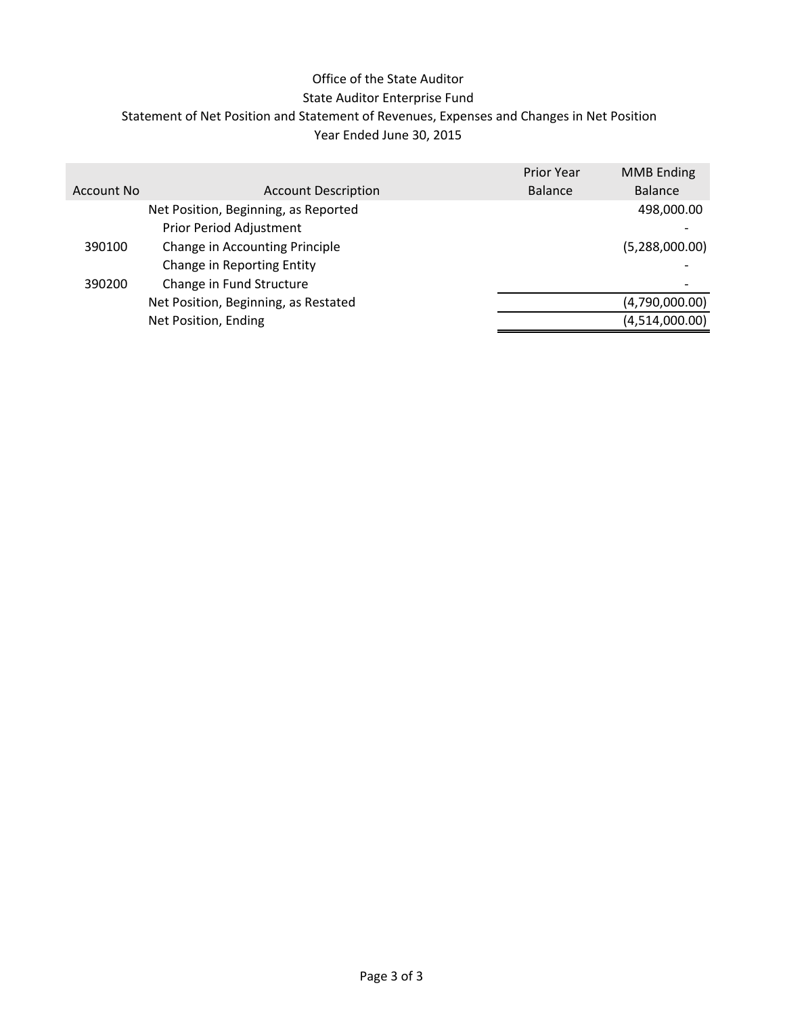### Office of the State Auditor

#### State Auditor Enterprise Fund

Statement of Net Position and Statement of Revenues, Expenses and Changes in Net Position

### Year Ended June 30, 2015

|            |                                      | <b>Prior Year</b> | <b>MMB</b> Ending |
|------------|--------------------------------------|-------------------|-------------------|
| Account No | <b>Account Description</b>           | <b>Balance</b>    | <b>Balance</b>    |
|            | Net Position, Beginning, as Reported |                   | 498,000.00        |
|            | Prior Period Adjustment              |                   |                   |
| 390100     | Change in Accounting Principle       |                   | (5,288,000.00)    |
|            | Change in Reporting Entity           |                   |                   |
| 390200     | Change in Fund Structure             |                   |                   |
|            | Net Position, Beginning, as Restated |                   | (4,790,000.00)    |
|            | Net Position, Ending                 |                   | (4,514,000.00)    |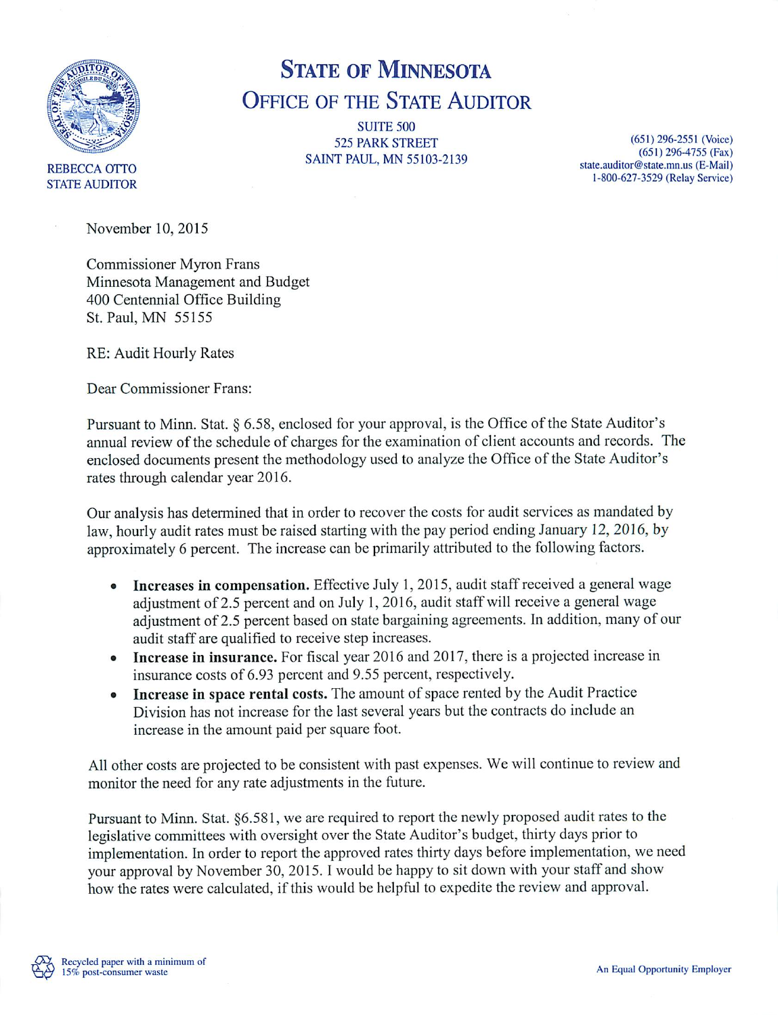

# **STATE OF MINNESOTA OFFICE OF THE STATE AUDITOR**

**SUITE 500 525 PARK STREET SAINT PAUL, MN 55103-2139** 

 $(651)$  296-2551 (Voice)  $(651)$  296-4755 (Fax) state.auditor@state.mn.us (E-Mail) 1-800-627-3529 (Relay Service)

November 10, 2015

**Commissioner Myron Frans** Minnesota Management and Budget 400 Centennial Office Building St. Paul, MN 55155

RE: Audit Hourly Rates

Dear Commissioner Frans:

Pursuant to Minn. Stat. § 6.58, enclosed for your approval, is the Office of the State Auditor's annual review of the schedule of charges for the examination of client accounts and records. The enclosed documents present the methodology used to analyze the Office of the State Auditor's rates through calendar year 2016.

Our analysis has determined that in order to recover the costs for audit services as mandated by law, hourly audit rates must be raised starting with the pay period ending January 12, 2016, by approximately 6 percent. The increase can be primarily attributed to the following factors.

- **Increases in compensation.** Effective July 1, 2015, audit staff received a general wage adjustment of 2.5 percent and on July 1, 2016, audit staff will receive a general wage adjustment of 2.5 percent based on state bargaining agreements. In addition, many of our audit staff are qualified to receive step increases.
- Increase in insurance. For fiscal year 2016 and 2017, there is a projected increase in  $\bullet$ insurance costs of 6.93 percent and 9.55 percent, respectively.
- Increase in space rental costs. The amount of space rented by the Audit Practice Division has not increase for the last several years but the contracts do include an increase in the amount paid per square foot.

All other costs are projected to be consistent with past expenses. We will continue to review and monitor the need for any rate adjustments in the future.

Pursuant to Minn. Stat. §6.581, we are required to report the newly proposed audit rates to the legislative committees with oversight over the State Auditor's budget, thirty days prior to implementation. In order to report the approved rates thirty days before implementation, we need your approval by November 30, 2015. I would be happy to sit down with your staff and show how the rates were calculated, if this would be helpful to expedite the review and approval.

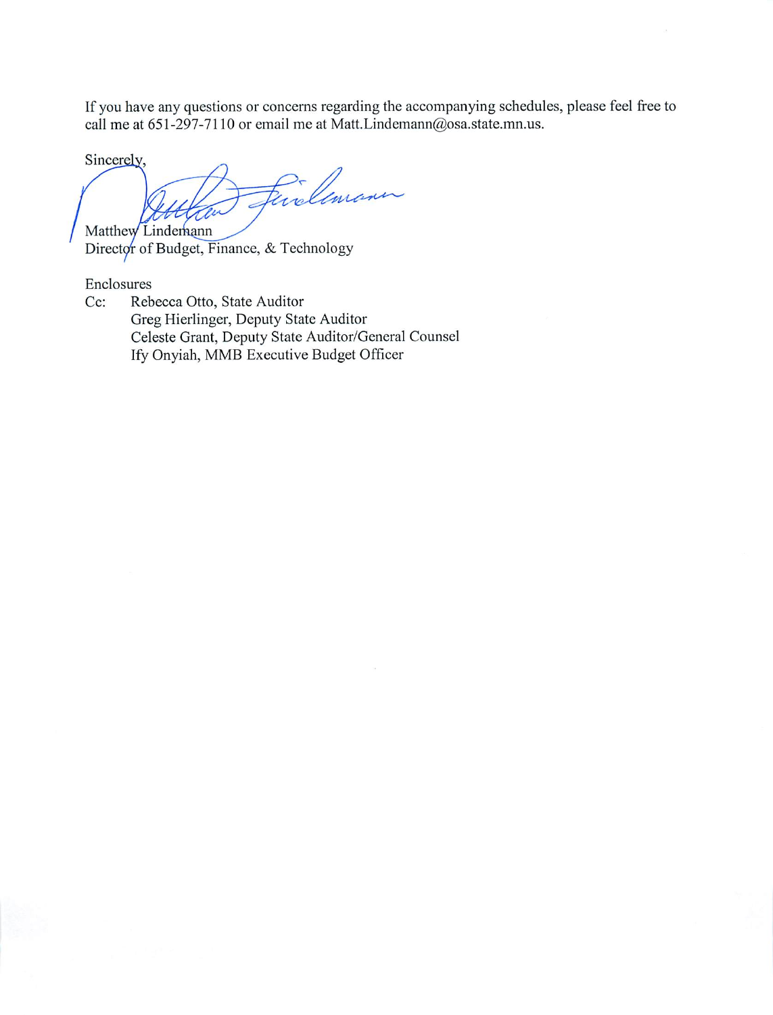If you have any questions or concerns regarding the accompanying schedules, please feel free to call me at 651-297-7110 or email me at Matt.Lindemann@osa.state.mn.us.

Sincerely,

Einelemann Matthew Lindemann

Director of Budget, Finance, & Technology

Enclosures

Rebecca Otto, State Auditor  $Cc$ : Greg Hierlinger, Deputy State Auditor Celeste Grant, Deputy State Auditor/General Counsel Ify Onyiah, MMB Executive Budget Officer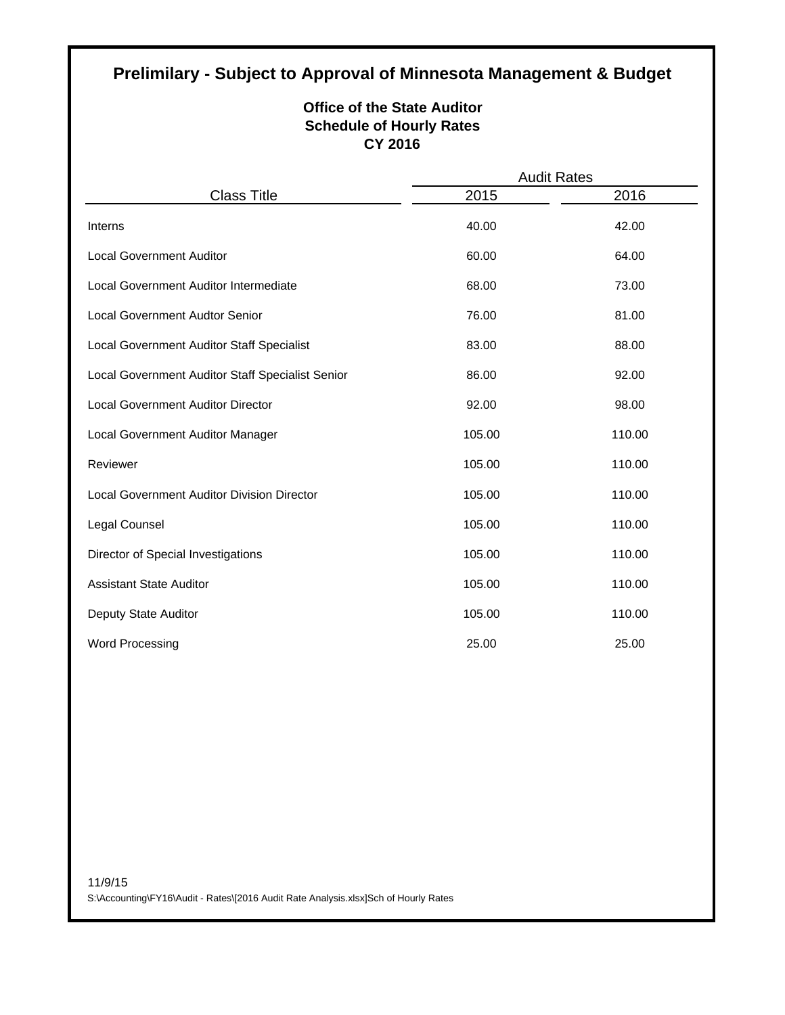## **Prelimilary - Subject to Approval of Minnesota Management & Budget**

#### **Office of the State Auditor Schedule of Hourly Rates CY 2016**

|                                                  | <b>Audit Rates</b> |        |  |
|--------------------------------------------------|--------------------|--------|--|
| <b>Class Title</b>                               | 2015               | 2016   |  |
| Interns                                          | 40.00              | 42.00  |  |
| <b>Local Government Auditor</b>                  | 60.00              | 64.00  |  |
| Local Government Auditor Intermediate            | 68.00              | 73.00  |  |
| <b>Local Government Audtor Senior</b>            | 76.00              | 81.00  |  |
| Local Government Auditor Staff Specialist        | 83.00              | 88.00  |  |
| Local Government Auditor Staff Specialist Senior | 86.00              | 92.00  |  |
| <b>Local Government Auditor Director</b>         | 92.00              | 98.00  |  |
| Local Government Auditor Manager                 | 105.00             | 110.00 |  |
| Reviewer                                         | 105.00             | 110.00 |  |
| Local Government Auditor Division Director       | 105.00             | 110.00 |  |
| Legal Counsel                                    | 105.00             | 110.00 |  |
| Director of Special Investigations               | 105.00             | 110.00 |  |
| <b>Assistant State Auditor</b>                   | 105.00             | 110.00 |  |
| Deputy State Auditor                             | 105.00             | 110.00 |  |
| <b>Word Processing</b>                           | 25.00              | 25.00  |  |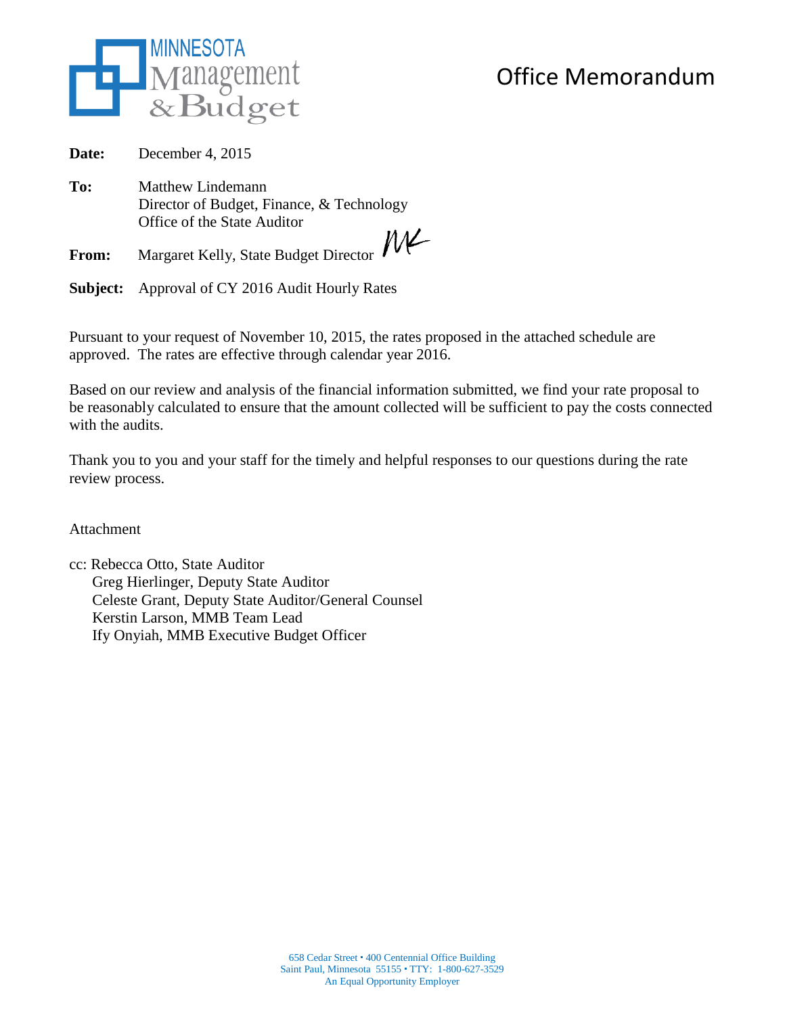

## Office Memorandum

**Date:** December 4, 2015

**To:** Matthew Lindemann Director of Budget, Finance, & Technology Office of the State Auditor  $M$ 

**From:** Margaret Kelly, State Budget Director

**Subject:** Approval of CY 2016 Audit Hourly Rates

Pursuant to your request of November 10, 2015, the rates proposed in the attached schedule are approved. The rates are effective through calendar year 2016.

Based on our review and analysis of the financial information submitted, we find your rate proposal to be reasonably calculated to ensure that the amount collected will be sufficient to pay the costs connected with the audits.

Thank you to you and your staff for the timely and helpful responses to our questions during the rate review process.

Attachment

cc: Rebecca Otto, State Auditor Greg Hierlinger, Deputy State Auditor Celeste Grant, Deputy State Auditor/General Counsel Kerstin Larson, MMB Team Lead Ify Onyiah, MMB Executive Budget Officer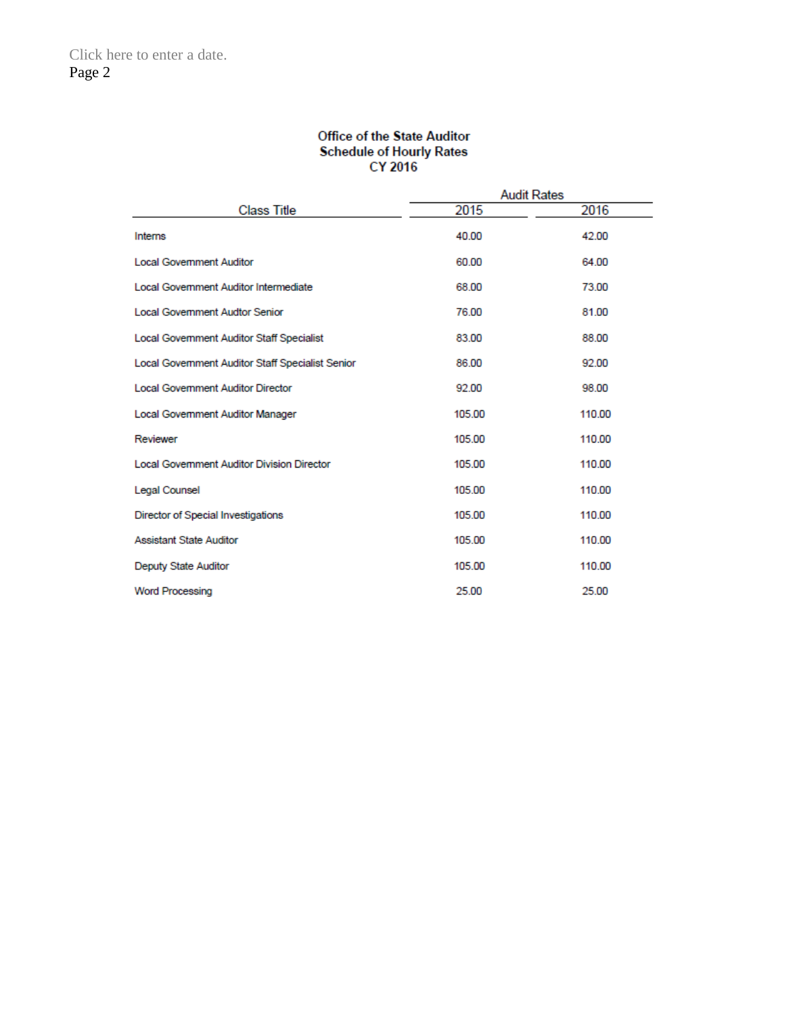## Office of the State Auditor Schedule of Hourly Rates<br>CY 2016

|                                                   | Audit Rates |        |
|---------------------------------------------------|-------------|--------|
| <b>Class Title</b>                                | 2015        | 2016   |
| Interns                                           | 40.00       | 42.00  |
| <b>Local Government Auditor</b>                   | 60.00       | 64.00  |
| <b>Local Government Auditor Intermediate</b>      | 68.00       | 73.00  |
| <b>Local Government Audtor Senior</b>             | 76.00       | 81.00  |
| Local Government Auditor Staff Specialist         | 83.00       | 88.00  |
| Local Government Auditor Staff Specialist Senior  | 86.00       | 92.00  |
| <b>Local Government Auditor Director</b>          | 92.00       | 98.00  |
| Local Government Auditor Manager                  | 105.00      | 110.00 |
| Reviewer                                          | 105.00      | 110.00 |
| <b>Local Government Auditor Division Director</b> | 105.00      | 110.00 |
| <b>Legal Counsel</b>                              | 105.00      | 110.00 |
| Director of Special Investigations                | 105.00      | 110.00 |
| <b>Assistant State Auditor</b>                    | 105.00      | 110.00 |
| <b>Deputy State Auditor</b>                       | 105.00      | 110.00 |
| <b>Word Processing</b>                            | 25.00       | 25.00  |